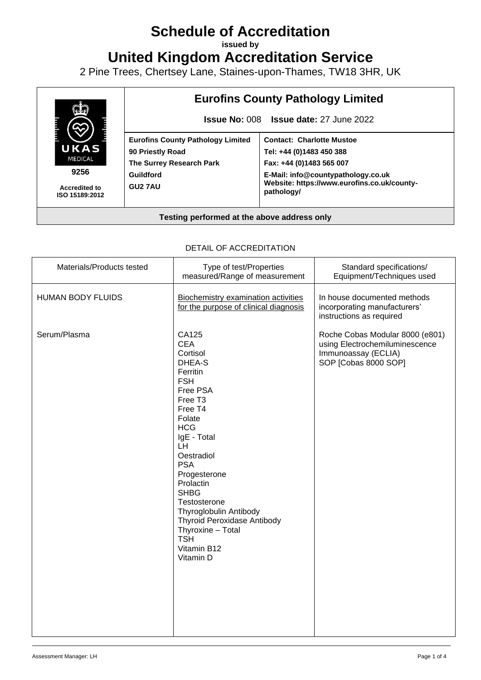# **Schedule of Accreditation**

**issued by**

**United Kingdom Accreditation Service**

2 Pine Trees, Chertsey Lane, Staines-upon-Thames, TW18 3HR, UK



#### DETAIL OF ACCREDITATION

| Materials/Products tested | Type of test/Properties<br>measured/Range of measurement                                                                                                                                                                                                                                                                                                                               | Standard specifications/<br>Equipment/Techniques used                                                            |
|---------------------------|----------------------------------------------------------------------------------------------------------------------------------------------------------------------------------------------------------------------------------------------------------------------------------------------------------------------------------------------------------------------------------------|------------------------------------------------------------------------------------------------------------------|
| <b>HUMAN BODY FLUIDS</b>  | <b>Biochemistry examination activities</b><br>for the purpose of clinical diagnosis                                                                                                                                                                                                                                                                                                    | In house documented methods<br>incorporating manufacturers'<br>instructions as required                          |
| Serum/Plasma              | CA125<br><b>CEA</b><br>Cortisol<br>DHEA-S<br>Ferritin<br><b>FSH</b><br>Free PSA<br>Free T <sub>3</sub><br>Free T4<br>Folate<br><b>HCG</b><br>IgE - Total<br>LH.<br>Oestradiol<br><b>PSA</b><br>Progesterone<br>Prolactin<br><b>SHBG</b><br>Testosterone<br>Thyroglobulin Antibody<br><b>Thyroid Peroxidase Antibody</b><br>Thyroxine - Total<br><b>TSH</b><br>Vitamin B12<br>Vitamin D | Roche Cobas Modular 8000 (e801)<br>using Electrochemiluminescence<br>Immunoassay (ECLIA)<br>SOP [Cobas 8000 SOP] |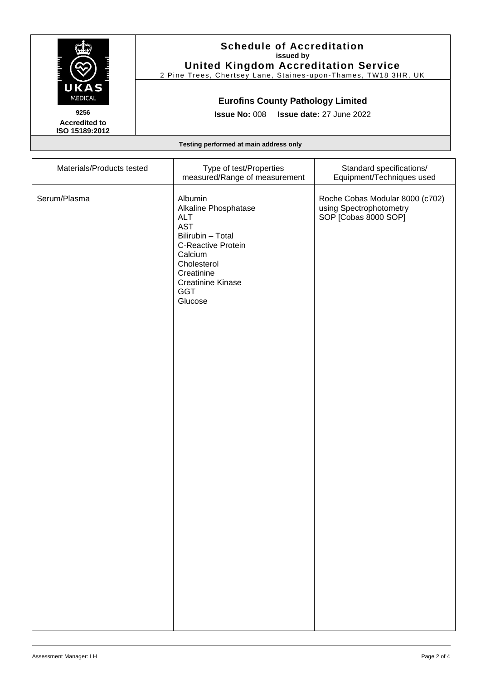

**Accredited to ISO 15189:2012**

### **Schedule of Accreditation issued by United Kingdom Accreditation Service**

2 Pine Trees, Chertsey Lane, Staines -upon -Thames, TW18 3HR, UK

## **Eurofins County Pathology Limited**

**Issue No:** 008 **Issue date:** 27 June 2022

**Testing performed at main address only**

| Materials/Products tested | Type of test/Properties<br>measured/Range of measurement                                                                                                                                     | Standard specifications/<br>Equipment/Techniques used                              |
|---------------------------|----------------------------------------------------------------------------------------------------------------------------------------------------------------------------------------------|------------------------------------------------------------------------------------|
| Serum/Plasma              | Albumin<br>Alkaline Phosphatase<br><b>ALT</b><br><b>AST</b><br>Bilirubin - Total<br>C-Reactive Protein<br>Calcium<br>Cholesterol<br>Creatinine<br><b>Creatinine Kinase</b><br>GGT<br>Glucose | Roche Cobas Modular 8000 (c702)<br>using Spectrophotometry<br>SOP [Cobas 8000 SOP] |
|                           |                                                                                                                                                                                              |                                                                                    |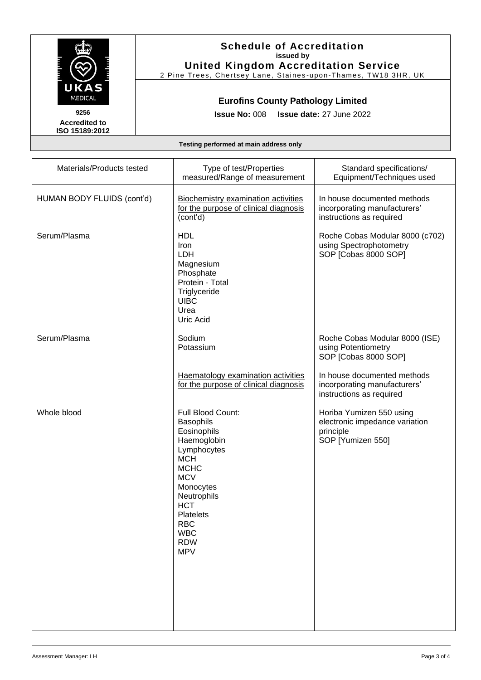

### **Schedule of Accreditation issued by United Kingdom Accreditation Service**

2 Pine Trees, Chertsey Lane, Staines -upon -Thames, TW18 3HR, UK

## **Eurofins County Pathology Limited**

**Issue No:** 008 **Issue date:** 27 June 2022

**Accredited to ISO 15189:2012**

**Testing performed at main address only**

| Materials/Products tested  | Type of test/Properties<br>measured/Range of measurement                                                                                                                                                                                            | Standard specifications/<br>Equipment/Techniques used                                        |
|----------------------------|-----------------------------------------------------------------------------------------------------------------------------------------------------------------------------------------------------------------------------------------------------|----------------------------------------------------------------------------------------------|
| HUMAN BODY FLUIDS (cont'd) | <b>Biochemistry examination activities</b><br>for the purpose of clinical diagnosis<br>(cont'd)                                                                                                                                                     | In house documented methods<br>incorporating manufacturers'<br>instructions as required      |
| Serum/Plasma               | <b>HDL</b><br>Iron<br>LDH<br>Magnesium<br>Phosphate<br>Protein - Total<br>Triglyceride<br><b>UIBC</b><br>Urea<br>Uric Acid                                                                                                                          | Roche Cobas Modular 8000 (c702)<br>using Spectrophotometry<br>SOP [Cobas 8000 SOP]           |
| Serum/Plasma               | Sodium<br>Potassium                                                                                                                                                                                                                                 | Roche Cobas Modular 8000 (ISE)<br>using Potentiometry<br>SOP [Cobas 8000 SOP]                |
|                            | Haematology examination activities<br>for the purpose of clinical diagnosis                                                                                                                                                                         | In house documented methods<br>incorporating manufacturers'<br>instructions as required      |
| Whole blood                | Full Blood Count:<br><b>Basophils</b><br>Eosinophils<br>Haemoglobin<br>Lymphocytes<br><b>MCH</b><br><b>MCHC</b><br><b>MCV</b><br>Monocytes<br>Neutrophils<br><b>HCT</b><br><b>Platelets</b><br><b>RBC</b><br><b>WBC</b><br><b>RDW</b><br><b>MPV</b> | Horiba Yumizen 550 using<br>electronic impedance variation<br>principle<br>SOP [Yumizen 550] |